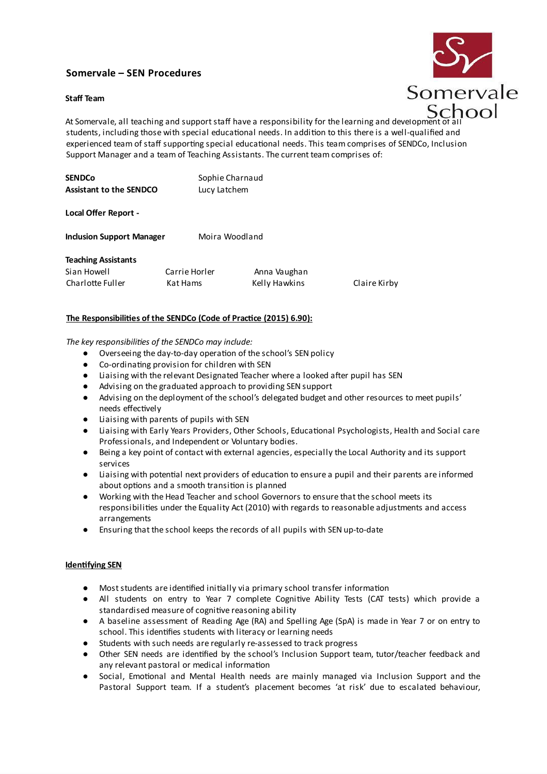# **Somervale – SEN Procedures**

# **Staff Team**



At Somervale, all teaching and support staff have a responsibility for the learning and development c students, including those with special educational needs. In addition to this there is a well-qualified and experienced team of staff supporting special educational needs. This team comprises of SENDCo, Inclusion Support Manager and a team of Teaching Assistants. The current team comprises of:

| <b>SENDCo</b>                  | Sophie Charnaud |
|--------------------------------|-----------------|
| <b>Assistant to the SENDCO</b> | Lucy Latchem    |

# **Local Offer Report -**

**Inclusion Support Manager** Moira Woodland

# **Teaching Assistants**

Sian Howell **Carrie Horler** Anna Vaughan

Charlotte Fuller Kat Hams Kelly Hawkins Claire Kirby

# **The Responsibilities of the SENDCo (Code of Practice (2015) 6.90):**

*The key responsibilities of the SENDCo may include:*

- Overseeing the day-to-day operation of the school's SEN policy
- Co-ordinating provision for children with SEN
- Liaising with the relevant Designated Teacher where a looked after pupil has SEN
- Advising on the graduated approach to providing SEN support
- Advising on the deployment of the school's delegated budget and other resources to meet pupils' needs effectively
- Liaising with parents of pupils with SEN
- Liaising with Early Years Providers, Other Schools, Educational Psychologists, Health and Social care Professionals, and Independent or Voluntary bodies.
- Being a key point of contact with external agencies, especially the Local Authority and its support services
- Liaising with potential next providers of education to ensure a pupil and their parents are informed about options and a smooth transition is planned
- Working with the Head Teacher and school Governors to ensure that the school meets its responsibilities under the Equality Act (2010) with regards to reasonable adjustments and access arrangements
- Ensuring that the school keeps the records of all pupils with SEN up-to-date

# **Identifying SEN**

- Moststudents are identified initially via primary school transfer information
- All students on entry to Year 7 complete Cognitive Ability Tests (CAT tests) which provide a standardised measure of cognitive reasoning ability
- A baseline assessment of Reading Age (RA) and Spelling Age (SpA) is made in Year 7 or on entry to school. This identifies students with literacy or learning needs
- Students with such needs are regularly re-assessed to track progress
- Other SEN needs are identified by the school's Inclusion Support team, tutor/teacher feedback and any relevant pastoral or medical information
- Social, Emotional and Mental Health needs are mainly managed via Inclusion Support and the Pastoral Support team. If a student's placement becomes 'at risk' due to escalated behaviour,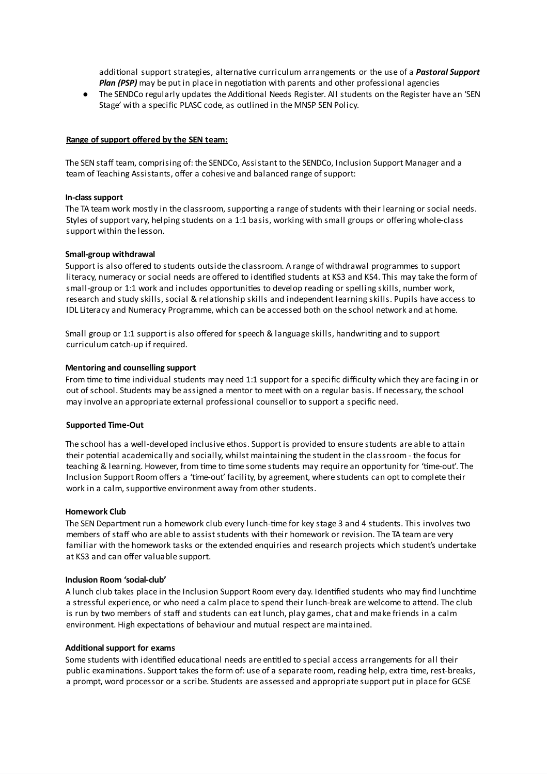additional support strategies, alternative curriculum arrangements or the use of a *Pastoral Support Plan (PSP)* may be put in place in negotiation with parents and other professional agencies

● The SENDCo regularly updates the Additional Needs Register. All students on the Register have an 'SEN Stage' with a specific PLASC code, as outlined in the MNSP SEN Policy.

## **Range of support offered by the SEN team:**

The SEN staff team, comprising of: the SENDCo, Assistant to the SENDCo, Inclusion Support Manager and a team of Teaching Assistants, offer a cohesive and balanced range of support:

### **In-class support**

The TA team work mostly in the classroom, supporting a range of students with their learning or social needs. Styles of support vary, helping students on a 1:1 basis, working with small groups or offering whole-class support within the lesson.

#### **Small-group withdrawal**

Support is also offered to students outside the classroom. A range of withdrawal programmes to support literacy, numeracy or social needs are offered to identified students at KS3 and KS4. This may take the form of small-group or 1:1 work and includes opportunities to develop reading or spelling skills, number work, research and study skills, social & relationship skills and independent learning skills. Pupils have access to IDL Literacy and Numeracy Programme, which can be accessed both on the school network and at home.

Small group or 1:1 support is also offered for speech & language skills, handwriting and to support curriculum catch-up if required.

#### **Mentoring and counselling support**

From time to time individual students may need 1:1 support for a specific difficulty which they are facing in or out of school. Students may be assigned a mentor to meet with on a regular basis. If necessary, the school may involve an appropriate external professional counsellor to support a specific need.

#### **Supported Time-Out**

The school has a well-developed inclusive ethos. Support is provided to ensure students are able to attain their potential academically and socially, whilst maintaining the student in the classroom - the focus for teaching & learning. However, from time to time some students may require an opportunity for 'time-out'. The Inclusion Support Room offers a 'time-out' facility, by agreement, where students can opt to complete their work in a calm, supportive environment away from other students.

#### **Homework Club**

The SEN Department run a homework club every lunch-time for key stage 3 and 4 students. This involves two members of staff who are able to assist students with their homework or revision. The TA team are very familiar with the homework tasks or the extended enquiries and research projects which student's undertake at KS3 and can offer valuable support.

#### **Inclusion Room 'social-club'**

A lunch club takes place in the Inclusion Support Room every day. Identified students who may find lunchtime a stressful experience, or who need a calm place to spend their lunch-break are welcome to attend. The club is run by two members of staff and students can eat lunch, play games, chat and make friends in a calm environment. High expectations of behaviour and mutual respect are maintained.

#### **Additional support for exams**

Some students with identified educational needs are entitled to special access arrangements for all their public examinations. Support takes the form of: use of a separate room, reading help, extra time, rest-breaks, a prompt, word processor or a scribe. Students are assessed and appropriate support put in place for GCSE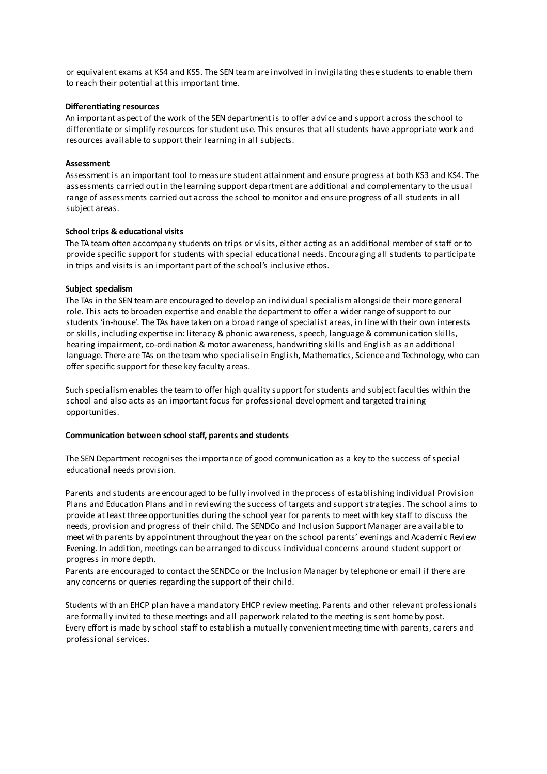or equivalent exams at KS4 and KS5. The SEN team are involved in invigilating these students to enable them to reach their potential at this important time.

## **Differentiating resources**

An important aspect of the work of the SEN department is to offer advice and support across the school to differentiate or simplify resources for student use. This ensures that all students have appropriate work and resources available to support their learning in all subjects.

## **Assessment**

Assessment is an important tool to measure student attainment and ensure progress at both KS3 and KS4. The assessments carried out in the learning support department are additional and complementary to the usual range of assessments carried out across the school to monitor and ensure progress of all students in all subject areas.

# **School trips & educational visits**

The TA team often accompany students on trips or visits, either acting as an additional member of staff or to provide specific support for students with special educational needs. Encouraging all students to participate in trips and visits is an important part of the school's inclusive ethos.

# **Subject specialism**

The TAs in the SEN team are encouraged to develop an individual specialism alongside their more general role. This acts to broaden expertise and enable the department to offer a wider range of support to our students 'in-house'. The TAs have taken on a broad range of specialist areas, in line with their own interests or skills, including expertise in: literacy & phonic awareness, speech, language & communication skills, hearing impairment, co-ordination & motor awareness, handwriting skills and English as an additional language. There are TAs on the team who specialise in English, Mathematics, Science and Technology, who can offer specific support for these key faculty areas.

Such specialism enables the team to offer high quality support for students and subject faculties within the school and also acts as an important focus for professional development and targeted training opportunities.

### **Communication between school staff, parents and students**

The SEN Department recognises the importance of good communication as a key to the success of special educational needs provision.

Parents and students are encouraged to be fully involved in the process of establishing individual Provision Plans and Education Plans and in reviewing the success of targets and supportstrategies. The school aims to provide at least three opportunities during the school year for parents to meet with key staff to discuss the needs, provision and progress of their child. The SENDCo and Inclusion Support Manager are available to meet with parents by appointment throughout the year on the school parents' evenings and Academic Review Evening. In addition, meetings can be arranged to discuss individual concerns around studentsupport or progress in more depth.

Parents are encouraged to contact the SENDCo or the Inclusion Manager by telephone or email if there are any concerns or queries regarding the support of their child.

Students with an EHCP plan have a mandatory EHCP review meeting. Parents and other relevant professionals are formally invited to these meetings and all paperwork related to the meeting is sent home by post. Every effort is made by school staff to establish a mutually convenient meeting time with parents, carers and professional services.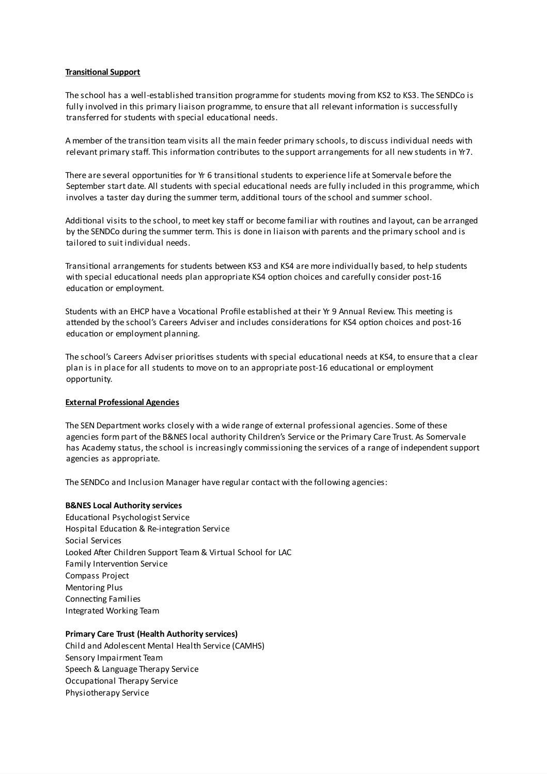# **Transitional Support**

The school has a well-established transition programme for students moving from KS2 to KS3. The SENDCo is fully involved in this primary liaison programme, to ensure that all relevant information is successfully transferred for students with special educational needs.

A member of the transition team visits all the main feeder primary schools, to discuss individual needs with relevant primary staff. This information contributes to the support arrangements for all new students in Yr7.

There are several opportunities for Yr 6 transitional students to experience life at Somervale before the September start date. All students with special educational needs are fully included in this programme, which involves a taster day during the summer term, additional tours of the school and summer school.

Additional visits to the school, to meet key staff or become familiar with routines and layout, can be arranged by the SENDCo during the summer term. This is done in liaison with parents and the primary school and is tailored to suit individual needs.

Transitional arrangements for students between KS3 and KS4 are more individually based, to help students with special educational needs plan appropriate KS4 option choices and carefully consider post-16 education or employment.

Students with an EHCP have a Vocational Profile established at their Yr 9 Annual Review. This meeting is attended by the school's Careers Adviser and includes considerations for KS4 option choices and post-16 education or employment planning.

The school's Careers Adviser prioritises students with special educational needs at KS4, to ensure that a clear plan is in place for all students to move on to an appropriate post-16 educational or employment opportunity.

### **External Professional Agencies**

The SEN Department works closely with a wide range of external professional agencies. Some of these agencies form part of the B&NES local authority Children's Service or the Primary Care Trust. As Somervale has Academy status, the school is increasingly commissioning the services of a range of independentsupport agencies as appropriate.

The SENDCo and Inclusion Manager have regular contact with the following agencies:

### **B&NES Local Authority services**

Educational Psychologist Service Hospital Education & Re-integration Service Social Services Looked After Children Support Team & Virtual School for LAC Family Intervention Service Compass Project Mentoring Plus Connecting Families Integrated Working Team

### **Primary Care Trust (Health Authority services)**

Child and Adolescent Mental Health Service (CAMHS) Sensory Impairment Team Speech & Language Therapy Service Occupational Therapy Service Physiotherapy Service